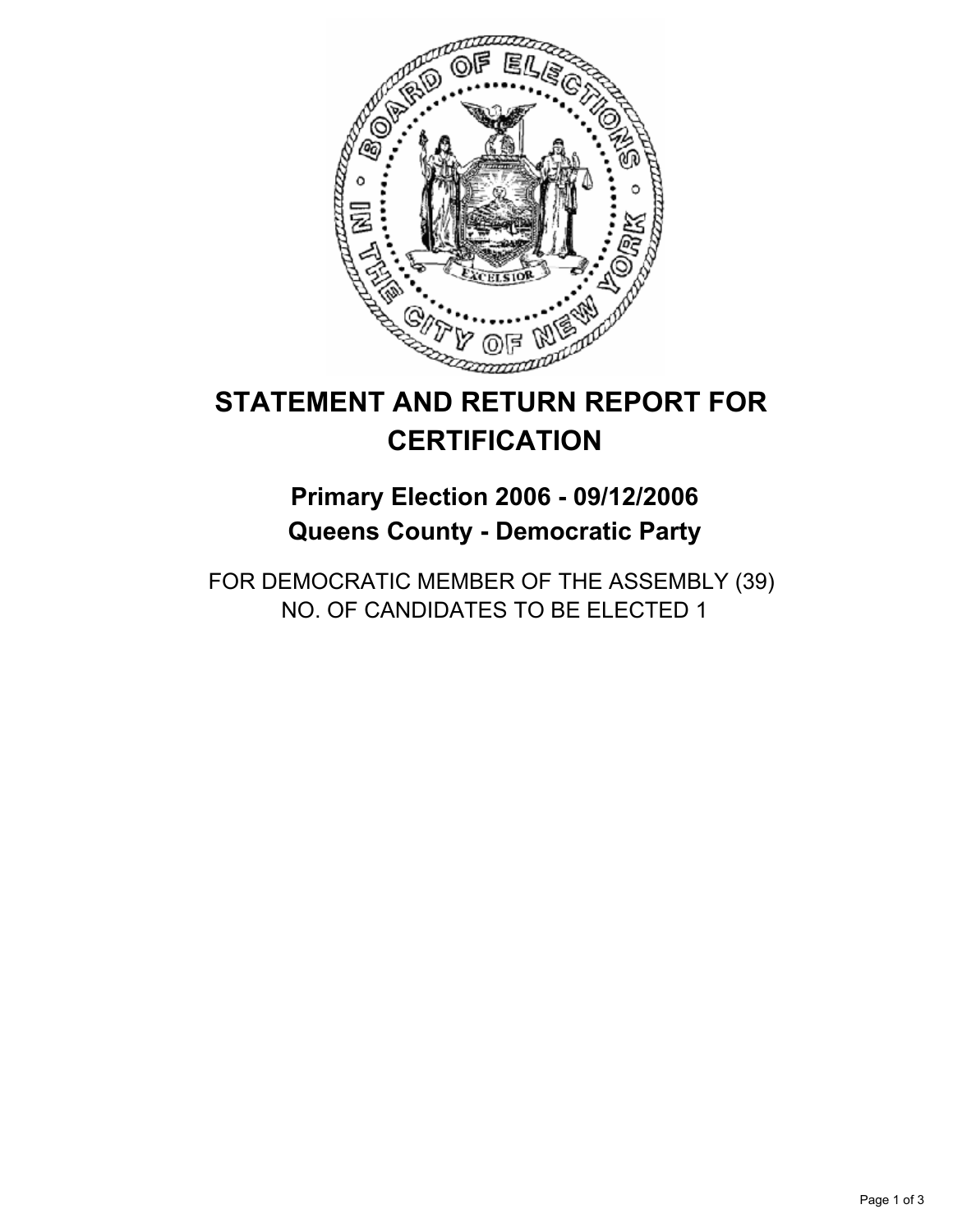

# **STATEMENT AND RETURN REPORT FOR CERTIFICATION**

## **Primary Election 2006 - 09/12/2006 Queens County - Democratic Party**

FOR DEMOCRATIC MEMBER OF THE ASSEMBLY (39) NO. OF CANDIDATES TO BE ELECTED 1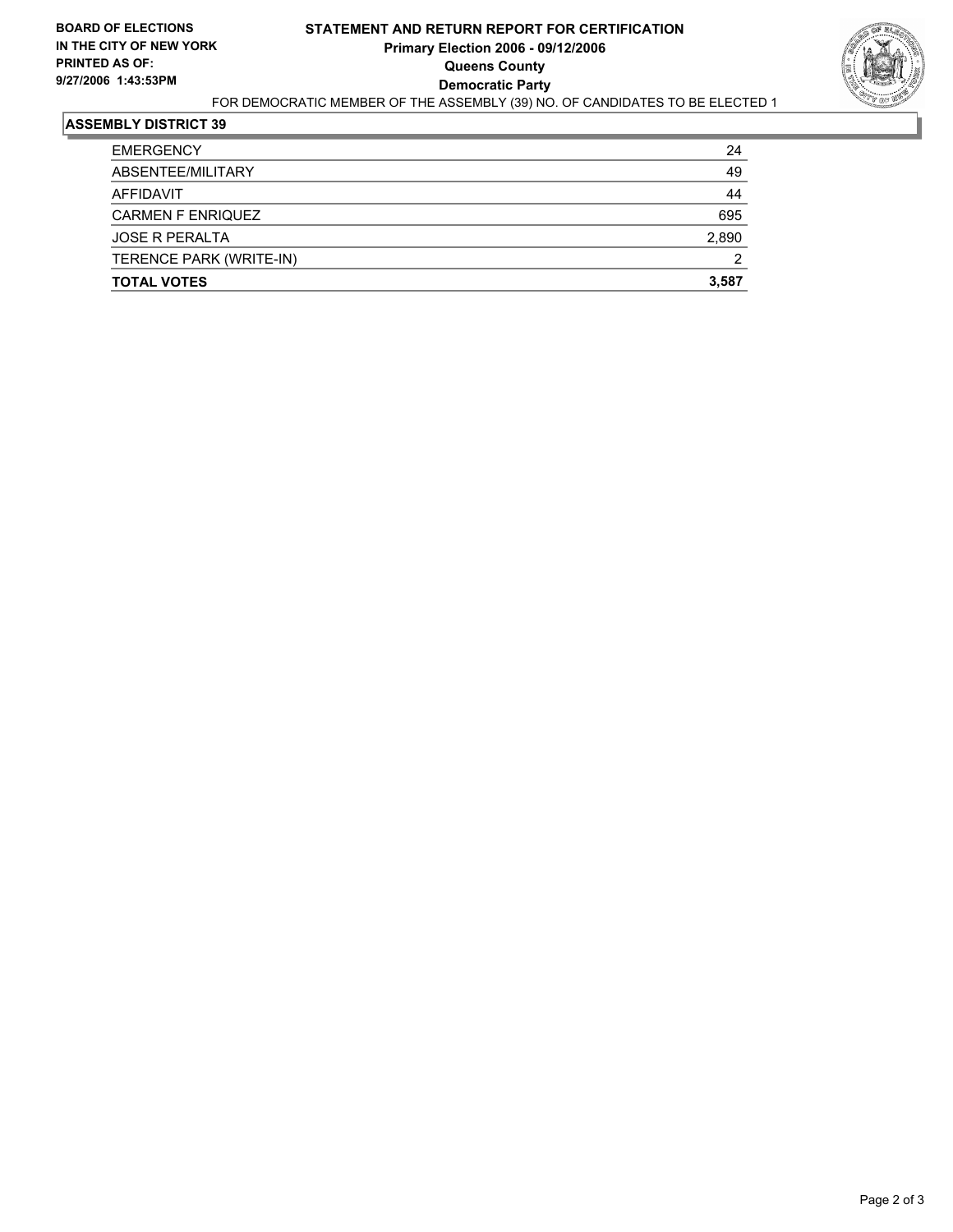

#### **ASSEMBLY DISTRICT 39**

| <b>EMERGENCY</b>         | 24    |
|--------------------------|-------|
| ABSENTEE/MILITARY        | 49    |
| AFFIDAVIT                | 44    |
| <b>CARMEN F ENRIQUEZ</b> | 695   |
| <b>JOSE R PERALTA</b>    | 2,890 |
| TERENCE PARK (WRITE-IN)  | 2     |
| <b>TOTAL VOTES</b>       | 3,587 |